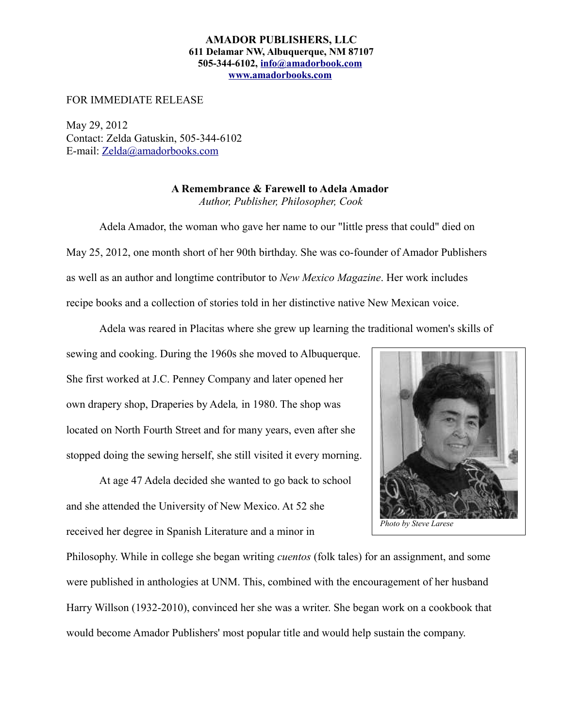## **AMADOR PUBLISHERS, LLC 611 Delamar NW, Albuquerque, NM 87107 505-344-6102, [info@amadorbook.com](mailto:info@amadorbook.com) [www.amadorbooks.com](http://www.amadorbooks.com/)**

FOR IMMEDIATE RELEASE

May 29, 2012 Contact: Zelda Gatuskin, 505-344-6102 E-mail: [Zelda@amadorbooks.com](mailto:Zelda@amadorbooks.com)

> **A Remembrance & Farewell to Adela Amador**  *Author, Publisher, Philosopher, Cook*

Adela Amador, the woman who gave her name to our "little press that could" died on May 25, 2012, one month short of her 90th birthday. She was co-founder of Amador Publishers as well as an author and longtime contributor to *New Mexico Magazine*. Her work includes recipe books and a collection of stories told in her distinctive native New Mexican voice.

Adela was reared in Placitas where she grew up learning the traditional women's skills of

sewing and cooking. During the 1960s she moved to Albuquerque. She first worked at J.C. Penney Company and later opened her own drapery shop, Draperies by Adela*,* in 1980. The shop was located on North Fourth Street and for many years, even after she stopped doing the sewing herself, she still visited it every morning.

At age 47 Adela decided she wanted to go back to school and she attended the University of New Mexico. At 52 she received her degree in Spanish Literature and a minor in



Philosophy. While in college she began writing *cuentos* (folk tales) for an assignment, and some were published in anthologies at UNM. This, combined with the encouragement of her husband Harry Willson (1932-2010), convinced her she was a writer. She began work on a cookbook that would become Amador Publishers' most popular title and would help sustain the company.